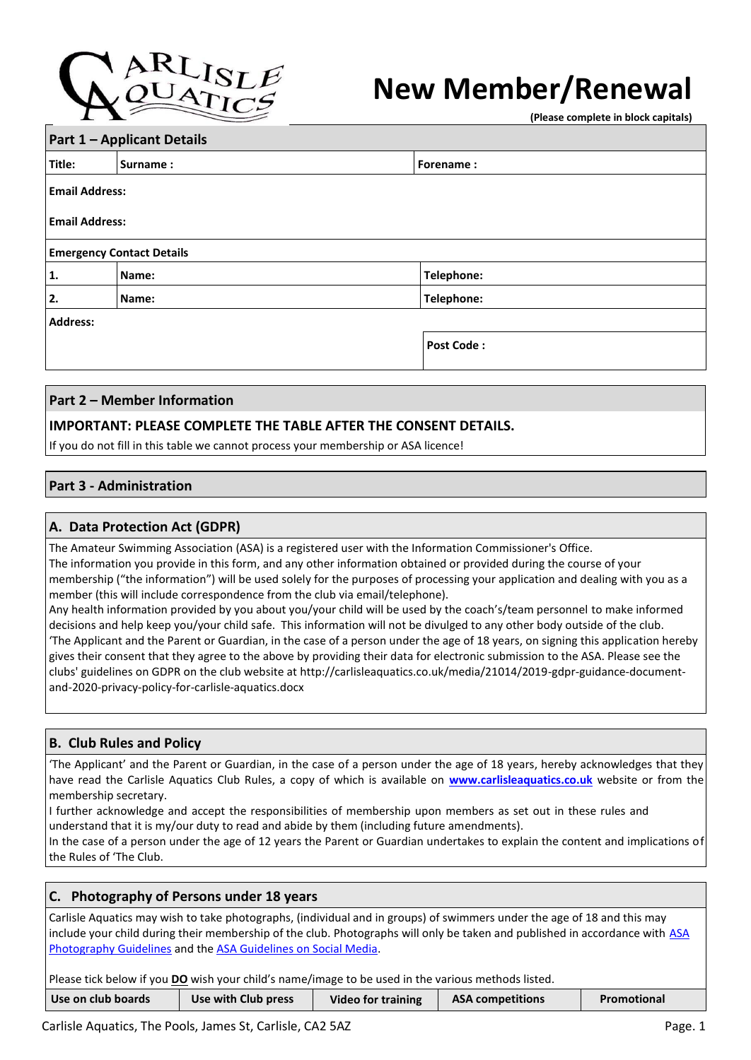

# **New Member/Renewal**

**(Please complete in block capitals)**

| <b>Part 1 - Applicant Details</b> |                                  |            |  |  |  |  |
|-----------------------------------|----------------------------------|------------|--|--|--|--|
| Title:                            | <b>Surname:</b><br>Forename:     |            |  |  |  |  |
|                                   | <b>Email Address:</b>            |            |  |  |  |  |
| <b>Email Address:</b>             |                                  |            |  |  |  |  |
|                                   | <b>Emergency Contact Details</b> |            |  |  |  |  |
| 1.                                | Name:                            | Telephone: |  |  |  |  |
| 2.                                | Telephone:<br>Name:              |            |  |  |  |  |
| <b>Address:</b>                   |                                  |            |  |  |  |  |
|                                   | <b>Post Code:</b>                |            |  |  |  |  |
|                                   |                                  |            |  |  |  |  |

## **Part 2 – Member Information**

# **IMPORTANT: PLEASE COMPLETE THE TABLE AFTER THE CONSENT DETAILS.**

If you do not fill in this table we cannot process your membership or ASA licence!

# **Part 3 - Administration**

## **A. Data Protection Act (GDPR)**

The Amateur Swimming Association (ASA) is a registered user with the Information Commissioner's Office. The information you provide in this form, and any other information obtained or provided during the course of your membership ("the information") will be used solely for the purposes of processing your application and dealing with you as a member (this will include correspondence from the club via email/telephone).

Any health information provided by you about you/your child will be used by the coach's/team personnel to make informed decisions and help keep you/your child safe. This information will not be divulged to any other body outside of the club. 'The Applicant and the Parent or Guardian, in the case of a person under the age of 18 years, on signing this application hereby gives their consent that they agree to the above by providing their data for electronic submission to the ASA. Please see the clubs' guidelines on GDPR on the club website at http://carlisleaquatics.co.uk/media/21014/2019-gdpr-guidance-documentand-2020-privacy-policy-for-carlisle-aquatics.docx

# **B. Club Rules and Policy**

'The Applicant' and the Parent or Guardian, in the case of a person under the age of 18 years, hereby acknowledges that they have read the Carlisle Aquatics Club Rules, a copy of which is available on **[www.carlisleaquatics.co.uk](http://www.carlisleaquatics.co.uk/)** website or from the membership secretary.

I further acknowledge and accept the responsibilities of membership upon members as set out in these rules and understand that it is my/our duty to read and abide by them (including future amendments).

In the case of a person under the age of 12 years the Parent or Guardian undertakes to explain the content and implications of the Rules of 'The Club.

#### **C. Photography of Persons under 18 years**

Carlisle Aquatics may wish to take photographs, (individual and in groups) of swimmers under the age of 18 and this may include your child during their membership of the club. Photographs will only be taken and published in accordance with ASA [Photography Guidelines](about:blank) [a](about:blank)nd the [ASA Guidelines on Social Media.](https://www.swimming.org/assets/uploads/library/SocialNetworking_from_WavepowerSection2.pdf)

Please tick below if you **DO** wish your child's name/image to be used in the various methods listed.

| Use on club boards | Use with Club press | <b>Video for training</b> | <b>ASA competitions</b> | Promotional |
|--------------------|---------------------|---------------------------|-------------------------|-------------|
|                    |                     |                           |                         |             |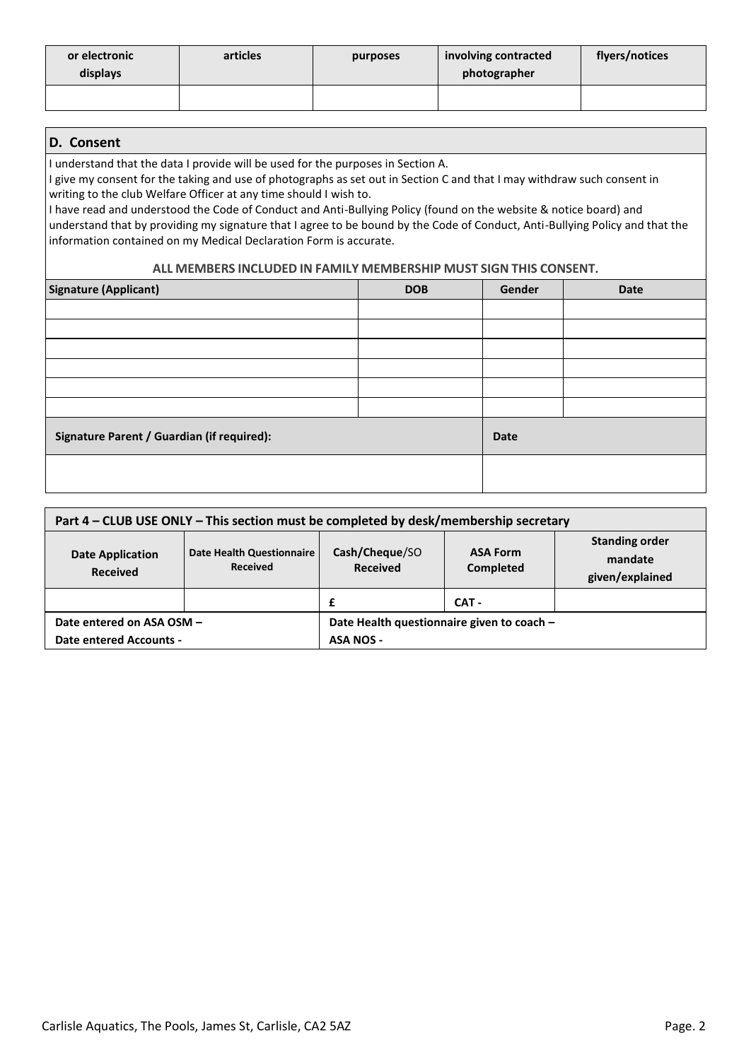| or electronic<br>displays | articles | purposes | involving contracted<br>photographer | flyers/notices |
|---------------------------|----------|----------|--------------------------------------|----------------|
|                           |          |          |                                      |                |

# **D. Consent**

I understand that the data I provide will be used for the purposes in Section A.

I give my consent for the taking and use of photographs as set out in Section C and that I may withdraw such consent in writing to the club Welfare Officer at any time should I wish to.

I have read and understood the Code of Conduct and Anti-Bullying Policy (found on the website & notice board) and understand that by providing my signature that I agree to be bound by the Code of Conduct, Anti-Bullying Policy and that the information contained on my Medical Declaration Form is accurate.

#### **ALL MEMBERS INCLUDED IN FAMILY MEMBERSHIP MUST SIGN THIS CONSENT.**

| <b>Signature (Applicant)</b>               | <b>DOB</b>  | Gender | <b>Date</b> |
|--------------------------------------------|-------------|--------|-------------|
|                                            |             |        |             |
|                                            |             |        |             |
|                                            |             |        |             |
|                                            |             |        |             |
|                                            |             |        |             |
|                                            |             |        |             |
| Signature Parent / Guardian (if required): | <b>Date</b> |        |             |
|                                            |             |        |             |

| Part 4 – CLUB USE ONLY – This section must be completed by desk/membership secretary |                                              |                                            |                                                     |  |  |
|--------------------------------------------------------------------------------------|----------------------------------------------|--------------------------------------------|-----------------------------------------------------|--|--|
| <b>Date Application</b><br><b>Received</b>                                           | Date Health Questionnaire<br><b>Received</b> | Cash/Cheque/SO<br><b>Received</b>          | <b>Standing order</b><br>mandate<br>given/explained |  |  |
|                                                                                      |                                              | £                                          | CAT -                                               |  |  |
| Date entered on ASA OSM -                                                            |                                              | Date Health questionnaire given to coach - |                                                     |  |  |
| <b>Date entered Accounts -</b>                                                       |                                              | <b>ASA NOS -</b>                           |                                                     |  |  |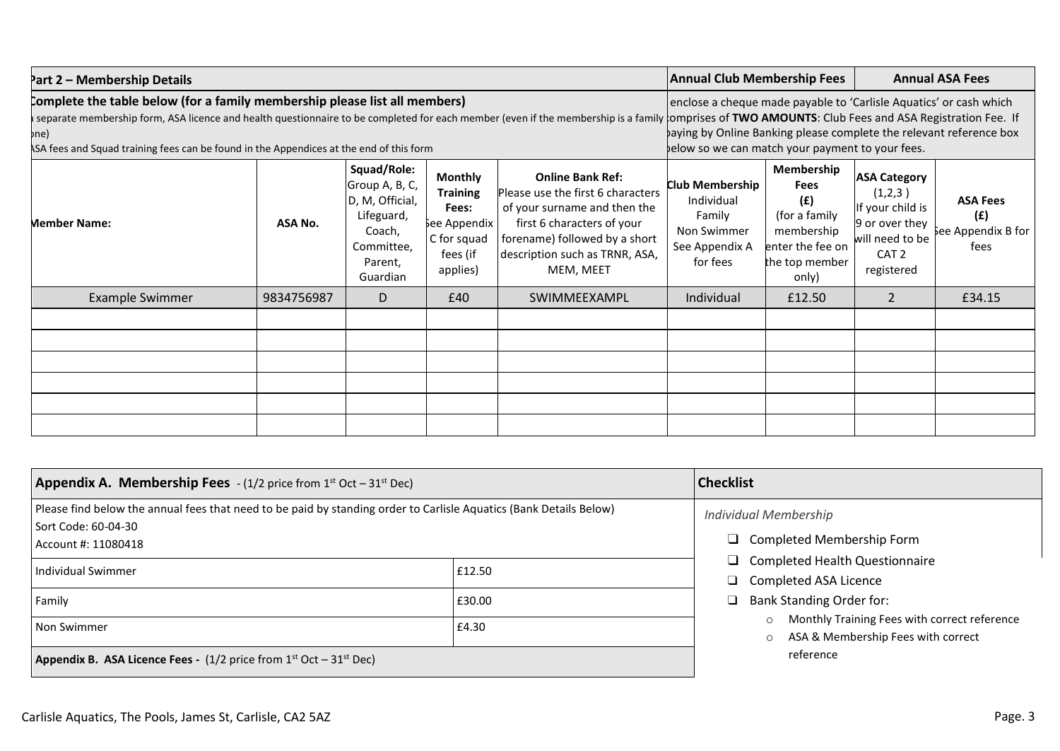| Part 2 – Membership Details                                                                                                                                                                                                                                                                                                                                                                                                                                        |            |   |     |              |                                                                                                                                                                                               | <b>Annual Club Membership Fees</b><br><b>Annual ASA Fees</b>                                                   |                                                                                                                           |                                                      |
|--------------------------------------------------------------------------------------------------------------------------------------------------------------------------------------------------------------------------------------------------------------------------------------------------------------------------------------------------------------------------------------------------------------------------------------------------------------------|------------|---|-----|--------------|-----------------------------------------------------------------------------------------------------------------------------------------------------------------------------------------------|----------------------------------------------------------------------------------------------------------------|---------------------------------------------------------------------------------------------------------------------------|------------------------------------------------------|
| complete the table below (for a family membership please list all members)<br>separate membership form, ASA licence and health questionnaire to be completed for each member (even if the membership is a family comprises of TWO AMOUNTS: Club Fees and ASA Registration Fee. If<br>pne)<br>ASA fees and Squad training fees can be found in the Appendices at the end of this form                                                                               |            |   |     |              | enclose a cheque made payable to 'Carlisle Aquatics' or cash which<br>paying by Online Banking please complete the relevant reference box<br>below so we can match your payment to your fees. |                                                                                                                |                                                                                                                           |                                                      |
| Squad/Role:<br><b>Monthly</b><br><b>Online Bank Ref:</b><br>Group A, B, C,<br>Please use the first 6 characters<br><b>Training</b><br>D, M, Official,<br>of your surname and then the<br>Fees:<br>Lifeguard,<br>first 6 characters of your<br>ASA No.<br>See Appendix<br><b>Member Name:</b><br>Coach,<br>forename) followed by a short<br>C for squad<br>Committee,<br>description such as TRNR, ASA,<br>fees (if<br>Parent,<br>MEM, MEET<br>applies)<br>Guardian |            |   |     |              | <b>Club Membership</b><br>Individual<br>Family<br>Non Swimmer<br>See Appendix A<br>for fees                                                                                                   | Membership<br><b>Fees</b><br>(E)<br>(for a family<br>membership<br>enter the fee on<br>the top member<br>only) | <b>ASA Category</b><br>(1,2,3)<br>If your child is<br>9 or over they<br>will need to be<br>CAT <sub>2</sub><br>registered | <b>ASA Fees</b><br>(f)<br>See Appendix B for<br>fees |
| <b>Example Swimmer</b>                                                                                                                                                                                                                                                                                                                                                                                                                                             | 9834756987 | D | £40 | SWIMMEEXAMPL | Individual                                                                                                                                                                                    | £12.50                                                                                                         | 2                                                                                                                         | £34.15                                               |
|                                                                                                                                                                                                                                                                                                                                                                                                                                                                    |            |   |     |              |                                                                                                                                                                                               |                                                                                                                |                                                                                                                           |                                                      |

| <b>Appendix A. Membership Fees</b> $- (1/2)$ price from 1 <sup>st</sup> Oct $- 31$ <sup>st</sup> Dec)                                                            | <b>Checklist</b>                                                      |                                                                                                                                                  |  |  |
|------------------------------------------------------------------------------------------------------------------------------------------------------------------|-----------------------------------------------------------------------|--------------------------------------------------------------------------------------------------------------------------------------------------|--|--|
| Please find below the annual fees that need to be paid by standing order to Carlisle Aquatics (Bank Details Below)<br>Sort Code: 60-04-30<br>Account #: 11080418 | <b>Individual Membership</b><br>$\Box$ Completed Membership Form      |                                                                                                                                                  |  |  |
| Individual Swimmer                                                                                                                                               | $\Box$ Completed Health Questionnaire<br>$\Box$ Completed ASA Licence |                                                                                                                                                  |  |  |
| Family<br>£30.00                                                                                                                                                 |                                                                       | <b>Bank Standing Order for:</b><br>❏<br>Monthly Training Fees with correct reference<br>$\circ$<br>ASA & Membership Fees with correct<br>$\circ$ |  |  |
| Non Swimmer                                                                                                                                                      |                                                                       |                                                                                                                                                  |  |  |
| <b>Appendix B. ASA Licence Fees -</b> (1/2 price from $1^{st}$ Oct $-31^{st}$ Dec)                                                                               | reference                                                             |                                                                                                                                                  |  |  |